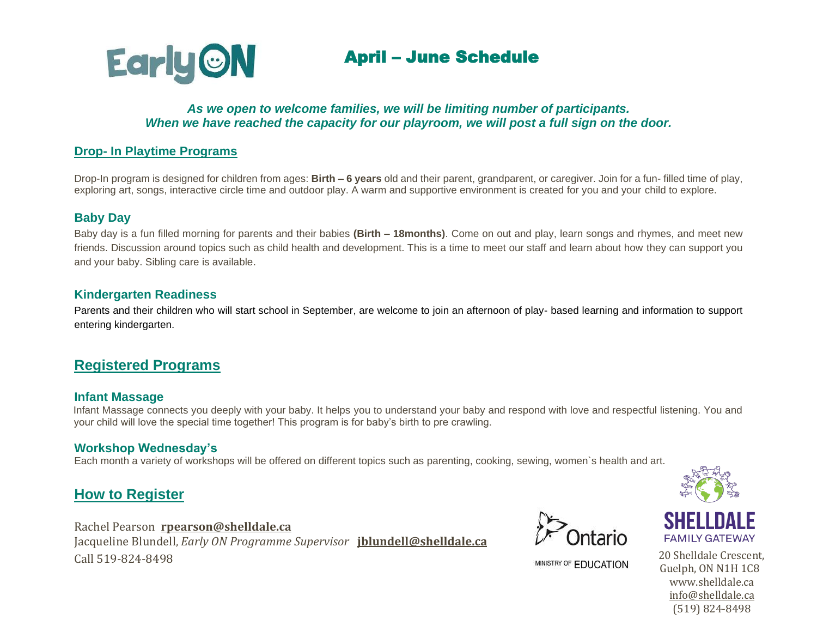

#### *As we open to welcome families, we will be limiting number of participants. When we have reached the capacity for our playroom, we will post a full sign on the door.*

### **Drop- In Playtime Programs**

Drop-In program is designed for children from ages: **Birth – 6 years** old and their parent, grandparent, or caregiver. Join for a fun- filled time of play, exploring art, songs, interactive circle time and outdoor play. A warm and supportive environment is created for you and your child to explore.

#### **Baby Day**

Baby day is a fun filled morning for parents and their babies **(Birth – 18months)**. Come on out and play, learn songs and rhymes, and meet new friends. Discussion around topics such as child health and development. This is a time to meet our staff and learn about how they can support you and your baby. Sibling care is available.

#### **Kindergarten Readiness**

Parents and their children who will start school in September, are welcome to join an afternoon of play- based learning and information to support entering kindergarten.

## **Registered Programs**

#### **Infant Massage**

Infant Massage connects you deeply with your baby. It helps you to understand your baby and respond with love and respectful listening. You and your child will love the special time together! This program is for baby's birth to pre crawling.

#### **Workshop Wednesday's**

Each month a variety of workshops will be offered on different topics such as parenting, cooking, sewing, women`s health and art.

# **How to Register**

Rachel Pearson **[rpearson@shelldale.ca](mailto:rpearson@shelldale.ca)** Jacqueline Blundell, *Early ON Programme Supervisor* **[jblundell@shelldale.ca](mailto:jblundell@shelldale.ca)** Call 519-824-8498 20 Shelldale Crescent,